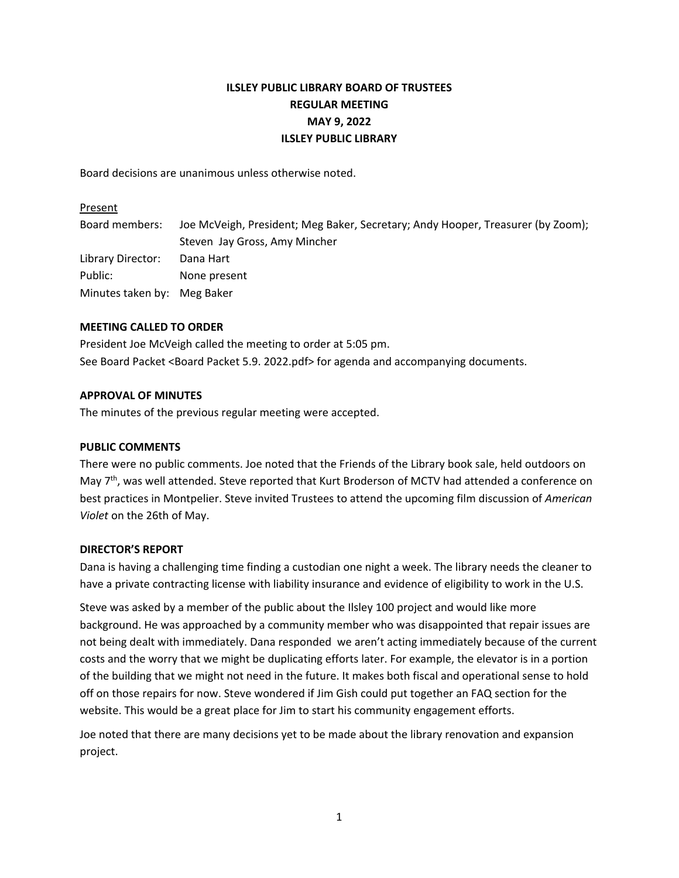# **ILSLEY PUBLIC LIBRARY BOARD OF TRUSTEES REGULAR MEETING MAY 9, 2022 ILSLEY PUBLIC LIBRARY**

Board decisions are unanimous unless otherwise noted.

#### Present

| Board members:              | Joe McVeigh, President; Meg Baker, Secretary; Andy Hooper, Treasurer (by Zoom); |
|-----------------------------|---------------------------------------------------------------------------------|
|                             | Steven Jay Gross, Amy Mincher                                                   |
| Library Director:           | Dana Hart                                                                       |
| Public:                     | None present                                                                    |
| Minutes taken by: Meg Baker |                                                                                 |

# **MEETING CALLED TO ORDER**

President Joe McVeigh called the meeting to order at 5:05 pm. See Board Packet <Board Packet 5.9. 2022.pdf> for agenda and accompanying documents.

## **APPROVAL OF MINUTES**

The minutes of the previous regular meeting were accepted.

# **PUBLIC COMMENTS**

There were no public comments. Joe noted that the Friends of the Library book sale, held outdoors on May 7<sup>th</sup>, was well attended. Steve reported that Kurt Broderson of MCTV had attended a conference on best practices in Montpelier. Steve invited Trustees to attend the upcoming film discussion of *American Violet* on the 26th of May.

#### **DIRECTOR'S REPORT**

Dana is having a challenging time finding a custodian one night a week. The library needs the cleaner to have a private contracting license with liability insurance and evidence of eligibility to work in the U.S.

Steve was asked by a member of the public about the Ilsley 100 project and would like more background. He was approached by a community member who was disappointed that repair issues are not being dealt with immediately. Dana responded we aren't acting immediately because of the current costs and the worry that we might be duplicating efforts later. For example, the elevator is in a portion of the building that we might not need in the future. It makes both fiscal and operational sense to hold off on those repairs for now. Steve wondered if Jim Gish could put together an FAQ section for the website. This would be a great place for Jim to start his community engagement efforts.

Joe noted that there are many decisions yet to be made about the library renovation and expansion project.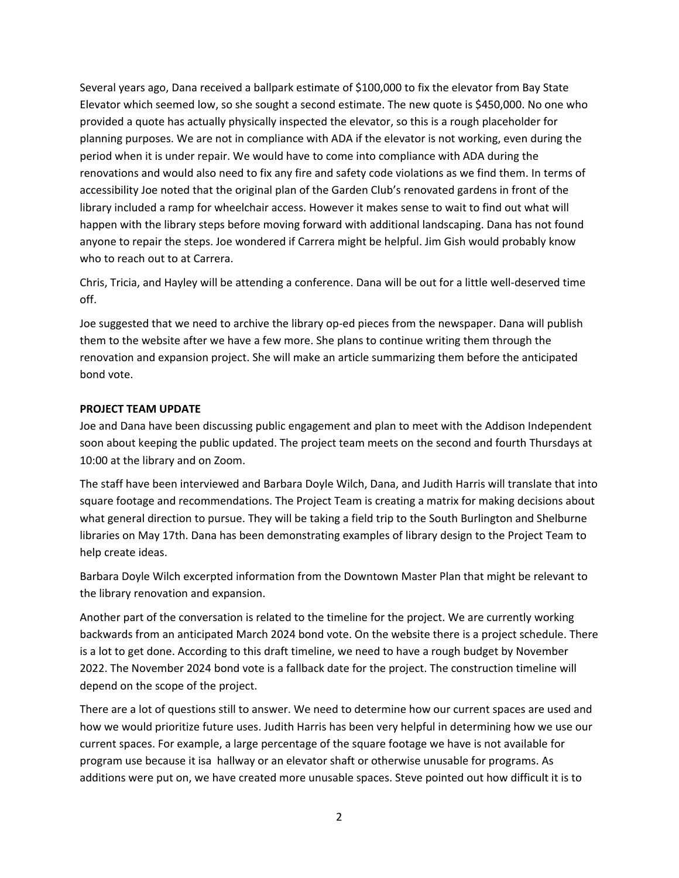Several years ago, Dana received a ballpark estimate of \$100,000 to fix the elevator from Bay State Elevator which seemed low, so she sought a second estimate. The new quote is \$450,000. No one who provided a quote has actually physically inspected the elevator, so this is a rough placeholder for planning purposes. We are not in compliance with ADA if the elevator is not working, even during the period when it is under repair. We would have to come into compliance with ADA during the renovations and would also need to fix any fire and safety code violations as we find them. In terms of accessibility Joe noted that the original plan of the Garden Club's renovated gardens in front of the library included a ramp for wheelchair access. However it makes sense to wait to find out what will happen with the library steps before moving forward with additional landscaping. Dana has not found anyone to repair the steps. Joe wondered if Carrera might be helpful. Jim Gish would probably know who to reach out to at Carrera.

Chris, Tricia, and Hayley will be attending a conference. Dana will be out for a little well‐deserved time off.

Joe suggested that we need to archive the library op‐ed pieces from the newspaper. Dana will publish them to the website after we have a few more. She plans to continue writing them through the renovation and expansion project. She will make an article summarizing them before the anticipated bond vote.

#### **PROJECT TEAM UPDATE**

Joe and Dana have been discussing public engagement and plan to meet with the Addison Independent soon about keeping the public updated. The project team meets on the second and fourth Thursdays at 10:00 at the library and on Zoom.

The staff have been interviewed and Barbara Doyle Wilch, Dana, and Judith Harris will translate that into square footage and recommendations. The Project Team is creating a matrix for making decisions about what general direction to pursue. They will be taking a field trip to the South Burlington and Shelburne libraries on May 17th. Dana has been demonstrating examples of library design to the Project Team to help create ideas.

Barbara Doyle Wilch excerpted information from the Downtown Master Plan that might be relevant to the library renovation and expansion.

Another part of the conversation is related to the timeline for the project. We are currently working backwards from an anticipated March 2024 bond vote. On the website there is a project schedule. There is a lot to get done. According to this draft timeline, we need to have a rough budget by November 2022. The November 2024 bond vote is a fallback date for the project. The construction timeline will depend on the scope of the project.

There are a lot of questions still to answer. We need to determine how our current spaces are used and how we would prioritize future uses. Judith Harris has been very helpful in determining how we use our current spaces. For example, a large percentage of the square footage we have is not available for program use because it isa hallway or an elevator shaft or otherwise unusable for programs. As additions were put on, we have created more unusable spaces. Steve pointed out how difficult it is to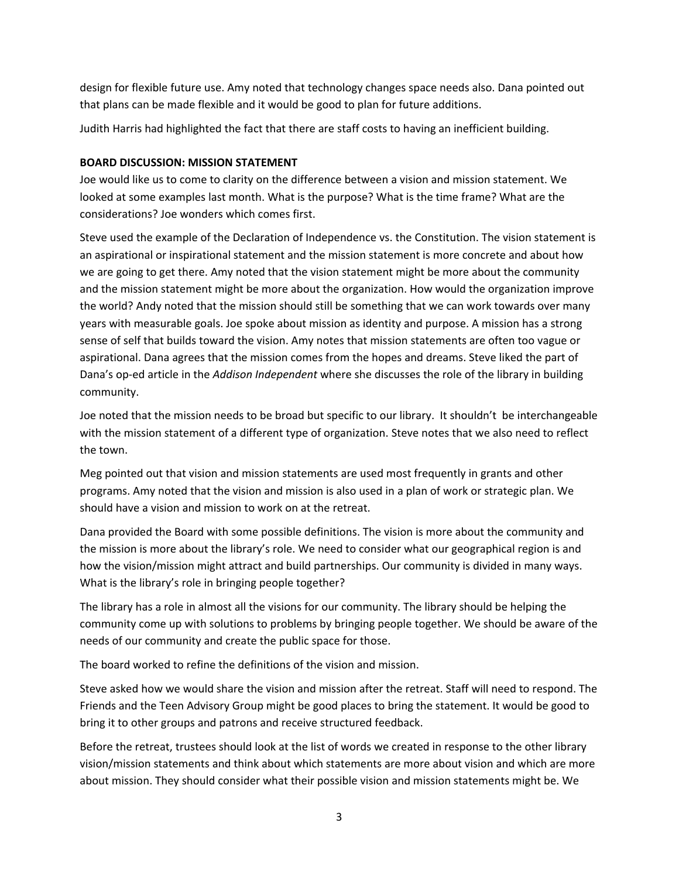design for flexible future use. Amy noted that technology changes space needs also. Dana pointed out that plans can be made flexible and it would be good to plan for future additions.

Judith Harris had highlighted the fact that there are staff costs to having an inefficient building.

## **BOARD DISCUSSION: MISSION STATEMENT**

Joe would like us to come to clarity on the difference between a vision and mission statement. We looked at some examples last month. What is the purpose? What is the time frame? What are the considerations? Joe wonders which comes first.

Steve used the example of the Declaration of Independence vs. the Constitution. The vision statement is an aspirational or inspirational statement and the mission statement is more concrete and about how we are going to get there. Amy noted that the vision statement might be more about the community and the mission statement might be more about the organization. How would the organization improve the world? Andy noted that the mission should still be something that we can work towards over many years with measurable goals. Joe spoke about mission as identity and purpose. A mission has a strong sense of self that builds toward the vision. Amy notes that mission statements are often too vague or aspirational. Dana agrees that the mission comes from the hopes and dreams. Steve liked the part of Dana's op‐ed article in the *Addison Independent* where she discusses the role of the library in building community.

Joe noted that the mission needs to be broad but specific to our library. It shouldn't be interchangeable with the mission statement of a different type of organization. Steve notes that we also need to reflect the town.

Meg pointed out that vision and mission statements are used most frequently in grants and other programs. Amy noted that the vision and mission is also used in a plan of work or strategic plan. We should have a vision and mission to work on at the retreat.

Dana provided the Board with some possible definitions. The vision is more about the community and the mission is more about the library's role. We need to consider what our geographical region is and how the vision/mission might attract and build partnerships. Our community is divided in many ways. What is the library's role in bringing people together?

The library has a role in almost all the visions for our community. The library should be helping the community come up with solutions to problems by bringing people together. We should be aware of the needs of our community and create the public space for those.

The board worked to refine the definitions of the vision and mission.

Steve asked how we would share the vision and mission after the retreat. Staff will need to respond. The Friends and the Teen Advisory Group might be good places to bring the statement. It would be good to bring it to other groups and patrons and receive structured feedback.

Before the retreat, trustees should look at the list of words we created in response to the other library vision/mission statements and think about which statements are more about vision and which are more about mission. They should consider what their possible vision and mission statements might be. We